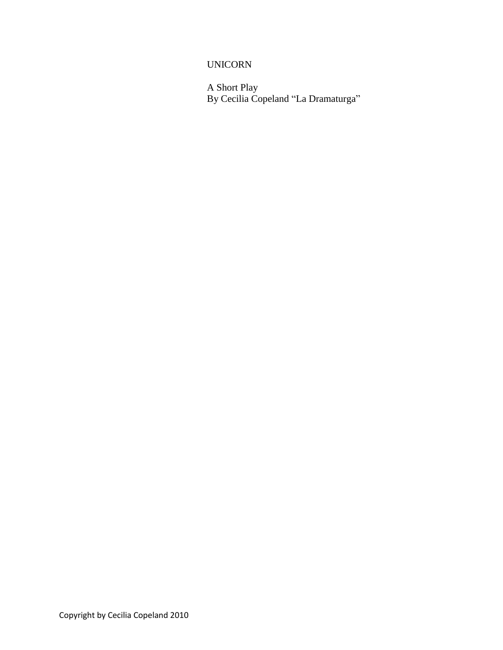# UNICORN

A Short Play By Cecilia Copeland "La Dramaturga"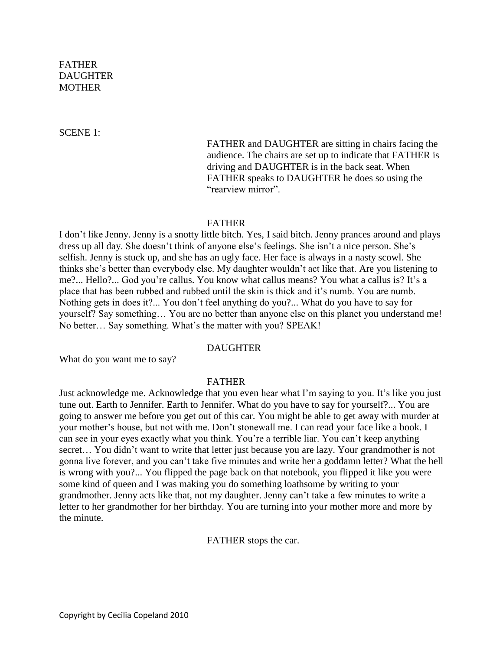FATHER **DAUGHTER MOTHER** 

SCENE 1:

FATHER and DAUGHTER are sitting in chairs facing the audience. The chairs are set up to indicate that FATHER is driving and DAUGHTER is in the back seat. When FATHER speaks to DAUGHTER he does so using the "rearview mirror".

### FATHER

I don't like Jenny. Jenny is a snotty little bitch. Yes, I said bitch. Jenny prances around and plays dress up all day. She doesn't think of anyone else's feelings. She isn't a nice person. She's selfish. Jenny is stuck up, and she has an ugly face. Her face is always in a nasty scowl. She thinks she's better than everybody else. My daughter wouldn't act like that. Are you listening to me?... Hello?... God you're callus. You know what callus means? You what a callus is? It's a place that has been rubbed and rubbed until the skin is thick and it's numb. You are numb. Nothing gets in does it?... You don't feel anything do you?... What do you have to say for yourself? Say something… You are no better than anyone else on this planet you understand me! No better… Say something. What's the matter with you? SPEAK!

### DAUGHTER

What do you want me to say?

### FATHER

Just acknowledge me. Acknowledge that you even hear what I'm saying to you. It's like you just tune out. Earth to Jennifer. Earth to Jennifer. What do you have to say for yourself?... You are going to answer me before you get out of this car. You might be able to get away with murder at your mother's house, but not with me. Don't stonewall me. I can read your face like a book. I can see in your eyes exactly what you think. You're a terrible liar. You can't keep anything secret… You didn't want to write that letter just because you are lazy. Your grandmother is not gonna live forever, and you can't take five minutes and write her a goddamn letter? What the hell is wrong with you?... You flipped the page back on that notebook, you flipped it like you were some kind of queen and I was making you do something loathsome by writing to your grandmother. Jenny acts like that, not my daughter. Jenny can't take a few minutes to write a letter to her grandmother for her birthday. You are turning into your mother more and more by the minute.

### FATHER stops the car.